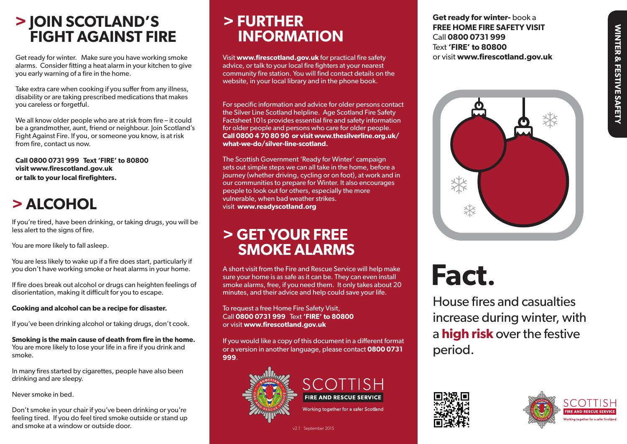# WINTER & FESTIVE SAFETY WINTER & FESTIVE SAFETY

### **> JOIN SCOTLAND'S FIGHT AGAINST FIRE**

Get ready for winter. Make sure you have working smoke alarms. Consider fitting a heat alarm in your kitchen to give you early warning of a fire in the home.

Take extra care when cooking if you suffer from any illness, disability or are taking prescribed medications that makes you careless or forgetful.

We all know older people who are at risk from fire – it could be a grandmother, aunt, friend or neighbour. Join Scotland's Fight Against Fire. If you, or someone you know, is at risk from fire, contact us now.

**Call 0800 0731 999 Text 'FIRE' to 80800 visit www.firescotland.gov.uk or talk to your local firefighters.**

### **> ALCOHOL**

If you're tired, have been drinking, or taking drugs, you will be less alert to the signs of fire.

You are more likely to fall asleep.

You are less likely to wake up if a fire does start, particularly if you don't have working smoke or heat alarms in your home.

If fire does break out alcohol or drugs can heighten feelings of disorientation, making it difficult for you to escape.

**Cooking and alcohol can be a recipe for disaster.** 

If you've been drinking alcohol or taking drugs, don't cook.

**Smoking is the main cause of death from fire in the home.** You are more likely to lose your life in a fire if you drink and smoke.

In many fires started by cigarettes, people have also been drinking and are sleepy.

Never smoke in bed.

Don't smoke in your chair if you've been drinking or you're feeling tired. If you do feel tired smoke outside or stand up and smoke at a window or outside door.

## **> FURTHER INFORMATION**

Visit **www.firescotland.gov.uk** for practical fire safety advice, or talk to your local fire fighters at your nearest community fire station. You will find contact details on the website, in your local library and in the phone book.

For specific information and advice for older persons contact the Silver Line Scotland helpline. Age Scotland Fire Safety Factsheet 101s provides essential fire and safety information for older people and persons who care for older people. **Call 0800 4 70 80 90 or visit www.thesilverline.org.uk/ what-we-do/silver-line-scotland.**

The Scottish Government 'Ready for Winter' campaign sets out simple steps we can all take in the home, before a journey (whether driving, cycling or on foot), at work and in our communities to prepare for Winter. It also encourages people to look out for others, especially the more vulnerable, when bad weather strikes. visit **www.readyscotland.org**

### **> GET YOUR FREE SMOKE ALARMS**

A short visit from the Fire and Rescue Service will help make sure your home is as safe as it can be. They can even install smoke alarms, free, if you need them. It only takes about 20 minutes, and their advice and help could save your life.

To request a free Home Fire Safety Visit, Call **0800 0731 999** Text **'FIRE' to 80800** or visit **www.firescotland.gov.uk**

If you would like a copy of this document in a different format or a version in another language, please contact **0800 0731 999**.



v2.1 September 2015

**Get ready for winter-** book a **FREE HOME FIRE SAFETY VISIT** Call **0800 0731 999** Text **'FIRE' to 80800**  or visit **www.firescotland.gov.uk**



### **Fact.**

House fires and casualties increase during winter, with a **high risk** over the festive period.